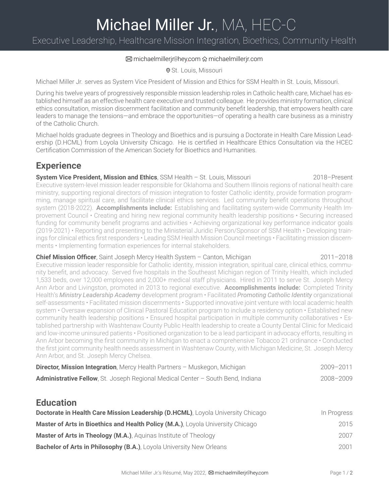# Michael Miller Jr., MA, HEC-C

# Executive Leadership, Healthcare Mission Integration, Bioethics, Community Health

#### ⊠ michaelmillerjr@hey.com @ [michaelmillerjr.com](https://michaelmillerjr.com)

**O** St. Louis, Missouri

Michael Miller Jr. serves as System Vice President of Mission and Ethics for SSM Health in St. Louis, Missouri.

During his twelve years of progressively responsible mission leadership roles in Catholic health care, Michael has established himself as an effective health care executive and trusted colleague. He provides ministry formation, clinical ethics consultation, mission discernment facilitation and community benefit leadership, that empowers health care leaders to manage the tensions—and embrace the opportunities—of operating a health care business as a ministry of the Catholic Church.

Michael holds graduate degrees in Theology and Bioethics and is pursuing a Doctorate in Health Care Mission Leadership (D.HCML) from Loyola University Chicago. He is certified in Healthcare Ethics Consultation via the HCEC Certification Commission of the American Society for Bioethics and Humanities.

## **Experience**

#### **System Vice President, Mission and Ethics**, SSM Health – St. Louis, Missouri 2018–Present

Executive system-level mission leader responsible for Oklahoma and Southern Illinois regions of national health care ministry, supporting regional directors of mission integration to foster Catholic identity, provide formation programming, manage spiritual care, and facilitate clinical ethics services. Led community benefit operations throughout system (2018-2022). **Accomplishments include:** Establishing and facilitating system-wide Community Health Improvement Council • Creating and hiring new regional community health leadership positions • Securing increased funding for community benefit programs and activities • Achieving organizational key performance indicator goals (2019-2021) • Reporting and presenting to the Ministerial Juridic Person/Sponsor of SSM Health • Developing trainings for clinical ethics first responders • Leading SSM Health Mission Council meetings • Facilitating mission discernments • Implementing formation experiences for internal stakeholders.

#### **Chief Mission Officer**, Saint Joseph Mercy Health System – Canton, Michigan 2011–2018

Executive mission leader responsible for Catholic identity, mission integration, spiritual care, clinical ethics, community benefit, and advocacy. Served five hospitals in the Southeast Michigan region of Trinity Health, which included 1,533 beds, over 12,000 employees and 2,000+ medical staff physicians. Hired in 2011 to serve St. Joseph Mercy Ann Arbor and Livingston, promoted in 2013 to regional executive. **Accomplishments include:** Completed Trinity Health's *Ministry Leadership Academy* development program • Facilitated *Promoting Catholic Identity* organizational self-assessments • Facilitated mission discernments • Supported innovative joint venture with local academic health system • Oversaw expansion of Clinical Pastoral Education program to include a residency option • Established new community health leadership positions • Ensured hospital participation in multiple community collaboratives • Established partnership with Washtenaw County Public Health leadership to create a County Dental Clinic for Medicaid and low-income uninsured patients • Positioned organization to be a lead participant in advocacy efforts, resulting in Ann Arbor becoming the first community in Michigan to enact a comprehensive Tobacco 21 ordinance • Conducted the first joint community health needs assessment in Washtenaw County, with Michigan Medicine, St. Joseph Mercy Ann Arbor, and St. Joseph Mercy Chelsea.

| <b>Director, Mission Integration</b> , Mercy Health Partners - Muskegon, Michigan | 2009-2011 |
|-----------------------------------------------------------------------------------|-----------|
| Administrative Fellow, St. Joseph Regional Medical Center - South Bend, Indiana   | 2008-2009 |

### **Education**

| Doctorate in Health Care Mission Leadership (D.HCML), Loyola University Chicago | In Progress |
|---------------------------------------------------------------------------------|-------------|
| Master of Arts in Bioethics and Health Policy (M.A.), Loyola University Chicago | 2015        |
| Master of Arts in Theology (M.A.), Aquinas Institute of Theology                | 2007        |
| <b>Bachelor of Arts in Philosophy (B.A.), Loyola University New Orleans</b>     | 2001        |